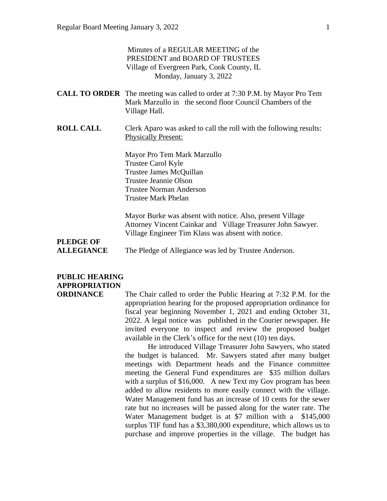#### Minutes of a REGULAR MEETING of the PRESIDENT and BOARD OF TRUSTEES Village of Evergreen Park, Cook County, IL Monday, January 3, 2022

| <b>CALL TO ORDER</b> The meeting was called to order at 7:30 P.M. by Mayor Pro Tem |                                                           |  |
|------------------------------------------------------------------------------------|-----------------------------------------------------------|--|
|                                                                                    | Mark Marzullo in the second floor Council Chambers of the |  |
| Village Hall.                                                                      |                                                           |  |

**ROLL CALL** Clerk Aparo was asked to call the roll with the following results: Physically Present:

> Mayor Pro Tem Mark Marzullo Trustee Carol Kyle Trustee James McQuillan Trustee Jeannie Olson Trustee Norman Anderson Trustee Mark Phelan

Mayor Burke was absent with notice. Also, present Village Attorney Vincent Cainkar and Village Treasurer John Sawyer. Village Engineer Tim Klass was absent with notice.

# **PLEDGE OF**

**ALLEGIANCE** The Pledge of Allegiance was led by Trustee Anderson.

### **PUBLIC HEARING APPROPRIATION**

**ORDINANCE** The Chair called to order the Public Hearing at 7:32 P.M. for the appropriation hearing for the proposed appropriation ordinance for fiscal year beginning November 1, 2021 and ending October 31, 2022. A legal notice was published in the Courier newspaper. He invited everyone to inspect and review the proposed budget available in the Clerk's office for the next (10) ten days.

> He introduced Village Treasurer John Sawyers, who stated the budget is balanced. Mr. Sawyers stated after many budget meetings with Department heads and the Finance committee meeting the General Fund expenditures are \$35 million dollars with a surplus of \$16,000. A new Text my Gov program has been added to allow residents to more easily connect with the village. Water Management fund has an increase of 10 cents for the sewer rate but no increases will be passed along for the water rate. The Water Management budget is at \$7 million with a \$145,000 surplus TIF fund has a \$3,380,000 expenditure, which allows us to purchase and improve properties in the village. The budget has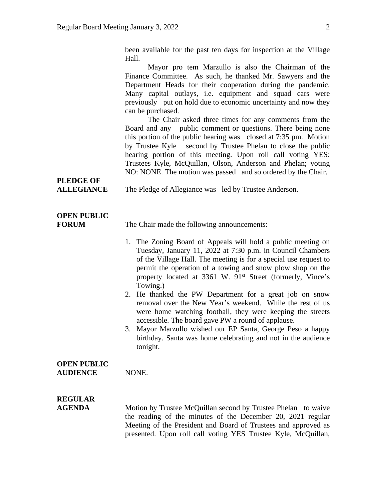been available for the past ten days for inspection at the Village Hall.

Mayor pro tem Marzullo is also the Chairman of the Finance Committee. As such, he thanked Mr. Sawyers and the Department Heads for their cooperation during the pandemic. Many capital outlays, i.e. equipment and squad cars were previously put on hold due to economic uncertainty and now they can be purchased.

The Chair asked three times for any comments from the Board and any public comment or questions. There being none this portion of the public hearing was closed at 7:35 pm. Motion by Trustee Kyle second by Trustee Phelan to close the public hearing portion of this meeting. Upon roll call voting YES: Trustees Kyle, McQuillan, Olson, Anderson and Phelan; voting NO: NONE. The motion was passed and so ordered by the Chair.

# **PLEDGE OF**

**ALLEGIANCE** The Pledge of Allegiance was led by Trustee Anderson.

### **OPEN PUBLIC**

**FORUM** The Chair made the following announcements:

- 1. The Zoning Board of Appeals will hold a public meeting on Tuesday, January 11, 2022 at 7:30 p.m. in Council Chambers of the Village Hall. The meeting is for a special use request to permit the operation of a towing and snow plow shop on the property located at 3361 W. 91st Street (formerly, Vince's Towing.)
- 2. He thanked the PW Department for a great job on snow removal over the New Year's weekend. While the rest of us were home watching football, they were keeping the streets accessible. The board gave PW a round of applause.
- 3. Mayor Marzullo wished our EP Santa, George Peso a happy birthday. Santa was home celebrating and not in the audience tonight.

#### **OPEN PUBLIC** AUDIENCE NONE.

# **REGULAR**

**AGENDA** Motion by Trustee McQuillan second by Trustee Phelan to waive the reading of the minutes of the December 20, 2021 regular Meeting of the President and Board of Trustees and approved as presented. Upon roll call voting YES Trustee Kyle, McQuillan,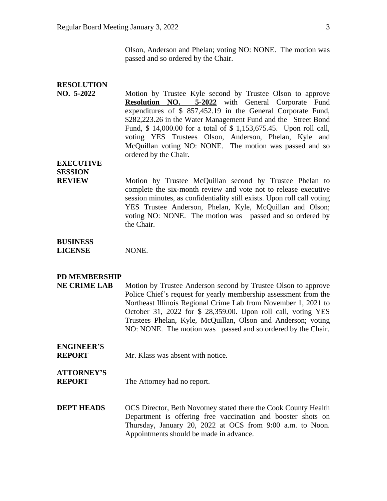| <b>RESOLUTION</b><br>NO. 5-2022      | Motion by Trustee Kyle second by Trustee Olson to approve<br><b>Resolution NO. 5-2022</b> with General Corporate Fund<br>expenditures of \$ 857,452.19 in the General Corporate Fund,<br>\$282,223.26 in the Water Management Fund and the Street Bond<br>Fund, \$14,000.00 for a total of \$1,153,675.45. Upon roll call,<br>voting YES Trustees Olson, Anderson, Phelan, Kyle and<br>McQuillan voting NO: NONE. The motion was passed and so<br>ordered by the Chair. |
|--------------------------------------|-------------------------------------------------------------------------------------------------------------------------------------------------------------------------------------------------------------------------------------------------------------------------------------------------------------------------------------------------------------------------------------------------------------------------------------------------------------------------|
| <b>EXECUTIVE</b>                     |                                                                                                                                                                                                                                                                                                                                                                                                                                                                         |
| <b>SESSION</b>                       |                                                                                                                                                                                                                                                                                                                                                                                                                                                                         |
| <b>REVIEW</b>                        | Motion by Trustee McQuillan second by Trustee Phelan to<br>complete the six-month review and vote not to release executive<br>session minutes, as confidentiality still exists. Upon roll call voting<br>YES Trustee Anderson, Phelan, Kyle, McQuillan and Olson;<br>voting NO: NONE. The motion was passed and so ordered by<br>the Chair.                                                                                                                             |
| <b>BUSINESS</b><br><b>LICENSE</b>    | NONE.                                                                                                                                                                                                                                                                                                                                                                                                                                                                   |
| PD MEMBERSHIP<br><b>NE CRIME LAB</b> | Motion by Trustee Anderson second by Trustee Olson to approve<br>Police Chief's request for yearly membership assessment from the<br>Northeast Illinois Regional Crime Lab from November 1, 2021 to<br>October 31, 2022 for \$ 28,359.00. Upon roll call, voting YES<br>Trustees Phelan, Kyle, McQuillan, Olson and Anderson; voting<br>NO: NONE. The motion was passed and so ordered by the Chair.                                                                    |
| <b>ENGINEER'S</b><br><b>REPORT</b>   | Mr. Klass was absent with notice.                                                                                                                                                                                                                                                                                                                                                                                                                                       |
| <b>ATTORNEY'S</b><br><b>REPORT</b>   | The Attorney had no report.                                                                                                                                                                                                                                                                                                                                                                                                                                             |
| <b>DEPT HEADS</b>                    | OCS Director, Beth Novotney stated there the Cook County Health<br>Department is offering free vaccination and booster shots on<br>Thursday, January 20, 2022 at OCS from 9:00 a.m. to Noon.<br>Appointments should be made in advance.                                                                                                                                                                                                                                 |